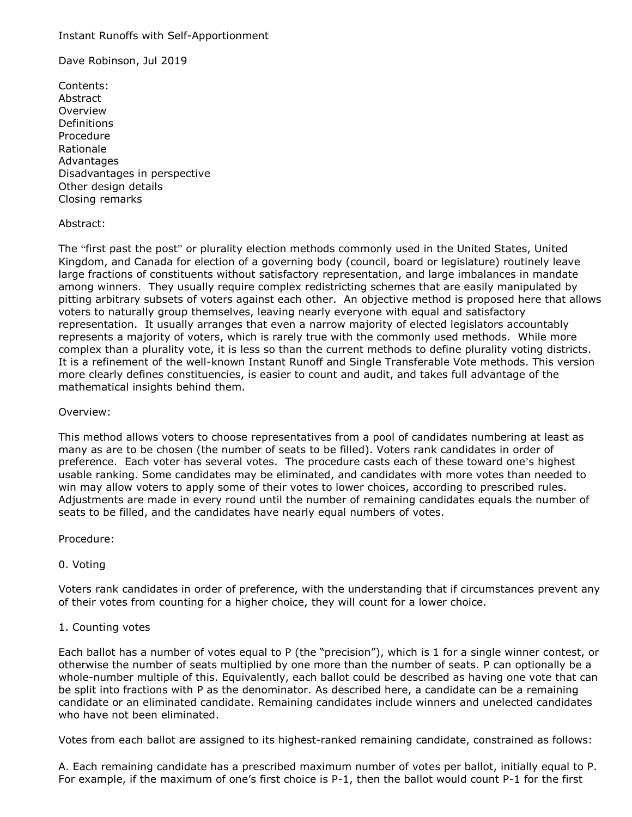#### Instant Runoffs with Self-Apportionment

Dave Robinson, Jul 2019

Contents: Abstract Overview Definitions Procedure Rationale **Advantages** Disadvantages in perspective Other design details Closing remarks

# Abstract:

The "first past the post" or plurality election methods commonly used in the United States, United Kingdom, and Canada for election of a governing body (council, board or legislature) routinely leave large fractions of constituents without satisfactory representation, and large imbalances in mandate among winners. They usually require complex redistricting schemes that are easily manipulated by pitting arbitrary subsets of voters against each other. An objective method is proposed here that allows voters to naturally group themselves, leaving nearly everyone with equal and satisfactory representation. It usually arranges that even a narrow majority of elected legislators accountably represents a majority of voters, which is rarely true with the commonly used methods. While more complex than a plurality vote, it is less so than the current methods to define plurality voting districts. It is a refinement of the well-known Instant Runoff and Single Transferable Vote methods. This version more clearly defines constituencies, is easier to count and audit, and takes full advantage of the mathematical insights behind them.

#### Overview:

This method allows voters to choose representatives from a pool of candidates numbering at least as many as are to be chosen (the number of seats to be filled). Voters rank candidates in order of preference. Each voter has several votes. The procedure casts each of these toward one's highest usable ranking. Some candidates may be eliminated, and candidates with more votes than needed to win may allow voters to apply some of their votes to lower choices, according to prescribed rules. Adjustments are made in every round until the number of remaining candidates equals the number of seats to be filled, and the candidates have nearly equal numbers of votes.

Procedure:

# 0. Voting

Voters rank candidates in order of preference, with the understanding that if circumstances prevent any of their votes from counting for a higher choice, they will count for a lower choice.

# 1. Counting votes

Each ballot has a number of votes equal to P (the "precision"), which is 1 for a single winner contest, or otherwise the number of seats multiplied by one more than the number of seats. P can optionally be a whole-number multiple of this. Equivalently, each ballot could be described as having one vote that can be split into fractions with P as the denominator. As described here, a candidate can be a remaining candidate or an eliminated candidate. Remaining candidates include winners and unelected candidates who have not been eliminated.

Votes from each ballot are assigned to its highest-ranked remaining candidate, constrained as follows:

A. Each remaining candidate has a prescribed maximum number of votes per ballot, initially equal to P. For example, if the maximum of one's first choice is P-1, then the ballot would count P-1 for the first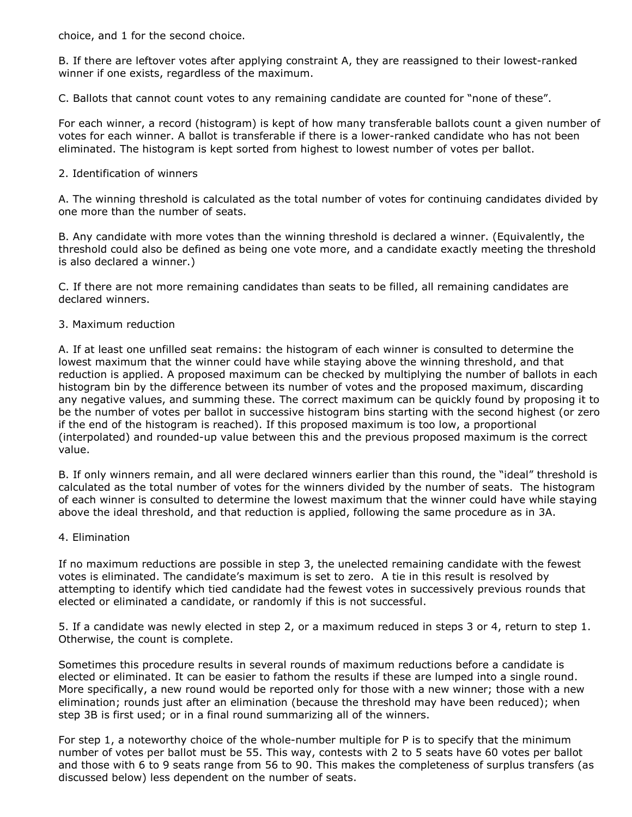choice, and 1 for the second choice.

B. If there are leftover votes after applying constraint A, they are reassigned to their lowest-ranked winner if one exists, regardless of the maximum.

C. Ballots that cannot count votes to any remaining candidate are counted for "none of these".

For each winner, a record (histogram) is kept of how many transferable ballots count a given number of votes for each winner. A ballot is transferable if there is a lower-ranked candidate who has not been eliminated. The histogram is kept sorted from highest to lowest number of votes per ballot.

# 2. Identification of winners

A. The winning threshold is calculated as the total number of votes for continuing candidates divided by one more than the number of seats.

B. Any candidate with more votes than the winning threshold is declared a winner. (Equivalently, the threshold could also be defined as being one vote more, and a candidate exactly meeting the threshold is also declared a winner.)

C. If there are not more remaining candidates than seats to be filled, all remaining candidates are declared winners.

# 3. Maximum reduction

A. If at least one unfilled seat remains: the histogram of each winner is consulted to determine the lowest maximum that the winner could have while staying above the winning threshold, and that reduction is applied. A proposed maximum can be checked by multiplying the number of ballots in each histogram bin by the difference between its number of votes and the proposed maximum, discarding any negative values, and summing these. The correct maximum can be quickly found by proposing it to be the number of votes per ballot in successive histogram bins starting with the second highest (or zero if the end of the histogram is reached). If this proposed maximum is too low, a proportional (interpolated) and rounded-up value between this and the previous proposed maximum is the correct value.

B. If only winners remain, and all were declared winners earlier than this round, the "ideal" threshold is calculated as the total number of votes for the winners divided by the number of seats. The histogram of each winner is consulted to determine the lowest maximum that the winner could have while staying above the ideal threshold, and that reduction is applied, following the same procedure as in 3A.

# 4. Elimination

If no maximum reductions are possible in step 3, the unelected remaining candidate with the fewest votes is eliminated. The candidate's maximum is set to zero. A tie in this result is resolved by attempting to identify which tied candidate had the fewest votes in successively previous rounds that elected or eliminated a candidate, or randomly if this is not successful.

5. If a candidate was newly elected in step 2, or a maximum reduced in steps 3 or 4, return to step 1. Otherwise, the count is complete.

Sometimes this procedure results in several rounds of maximum reductions before a candidate is elected or eliminated. It can be easier to fathom the results if these are lumped into a single round. More specifically, a new round would be reported only for those with a new winner; those with a new elimination; rounds just after an elimination (because the threshold may have been reduced); when step 3B is first used; or in a final round summarizing all of the winners.

For step 1, a noteworthy choice of the whole-number multiple for P is to specify that the minimum number of votes per ballot must be 55. This way, contests with 2 to 5 seats have 60 votes per ballot and those with 6 to 9 seats range from 56 to 90. This makes the completeness of surplus transfers (as discussed below) less dependent on the number of seats.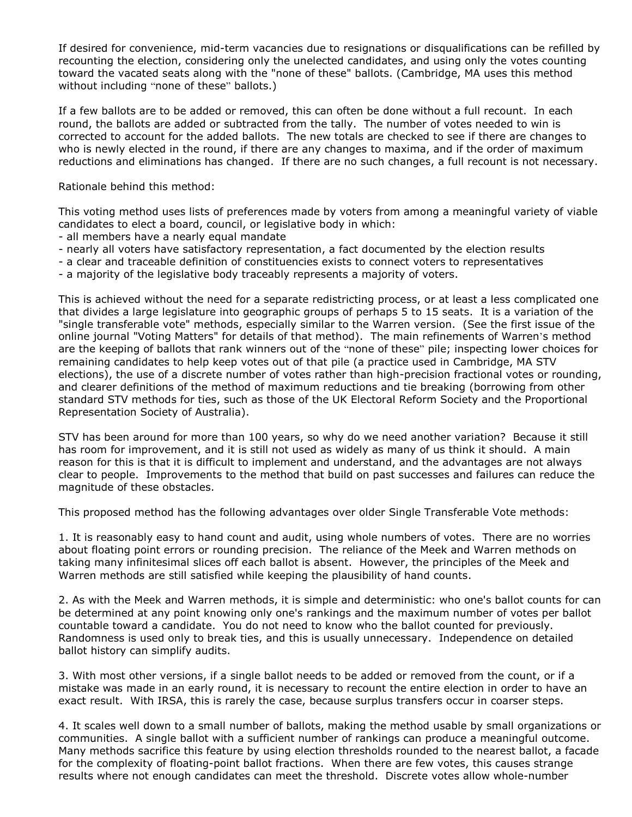If desired for convenience, mid-term vacancies due to resignations or disqualifications can be refilled by recounting the election, considering only the unelected candidates, and using only the votes counting toward the vacated seats along with the "none of these" ballots. (Cambridge, MA uses this method without including "none of these" ballots.)

If a few ballots are to be added or removed, this can often be done without a full recount. In each round, the ballots are added or subtracted from the tally. The number of votes needed to win is corrected to account for the added ballots. The new totals are checked to see if there are changes to who is newly elected in the round, if there are any changes to maxima, and if the order of maximum reductions and eliminations has changed. If there are no such changes, a full recount is not necessary.

Rationale behind this method:

This voting method uses lists of preferences made by voters from among a meaningful variety of viable candidates to elect a board, council, or legislative body in which:

- all members have a nearly equal mandate
- nearly all voters have satisfactory representation, a fact documented by the election results
- a clear and traceable definition of constituencies exists to connect voters to representatives
- a majority of the legislative body traceably represents a majority of voters.

This is achieved without the need for a separate redistricting process, or at least a less complicated one that divides a large legislature into geographic groups of perhaps 5 to 15 seats. It is a variation of the "single transferable vote" methods, especially similar to the Warren version. (See the first issue of the online journal "Voting Matters" for details of that method). The main refinements of Warren's method are the keeping of ballots that rank winners out of the "none of these" pile; inspecting lower choices for remaining candidates to help keep votes out of that pile (a practice used in Cambridge, MA STV elections), the use of a discrete number of votes rather than high-precision fractional votes or rounding, and clearer definitions of the method of maximum reductions and tie breaking (borrowing from other standard STV methods for ties, such as those of the UK Electoral Reform Society and the Proportional Representation Society of Australia).

STV has been around for more than 100 years, so why do we need another variation? Because it still has room for improvement, and it is still not used as widely as many of us think it should. A main reason for this is that it is difficult to implement and understand, and the advantages are not always clear to people. Improvements to the method that build on past successes and failures can reduce the magnitude of these obstacles.

This proposed method has the following advantages over older Single Transferable Vote methods:

1. It is reasonably easy to hand count and audit, using whole numbers of votes. There are no worries about floating point errors or rounding precision. The reliance of the Meek and Warren methods on taking many infinitesimal slices off each ballot is absent. However, the principles of the Meek and Warren methods are still satisfied while keeping the plausibility of hand counts.

2. As with the Meek and Warren methods, it is simple and deterministic: who one's ballot counts for can be determined at any point knowing only one's rankings and the maximum number of votes per ballot countable toward a candidate. You do not need to know who the ballot counted for previously. Randomness is used only to break ties, and this is usually unnecessary. Independence on detailed ballot history can simplify audits.

3. With most other versions, if a single ballot needs to be added or removed from the count, or if a mistake was made in an early round, it is necessary to recount the entire election in order to have an exact result. With IRSA, this is rarely the case, because surplus transfers occur in coarser steps.

4. It scales well down to a small number of ballots, making the method usable by small organizations or communities. A single ballot with a sufficient number of rankings can produce a meaningful outcome. Many methods sacrifice this feature by using election thresholds rounded to the nearest ballot, a facade for the complexity of floating-point ballot fractions. When there are few votes, this causes strange results where not enough candidates can meet the threshold. Discrete votes allow whole-number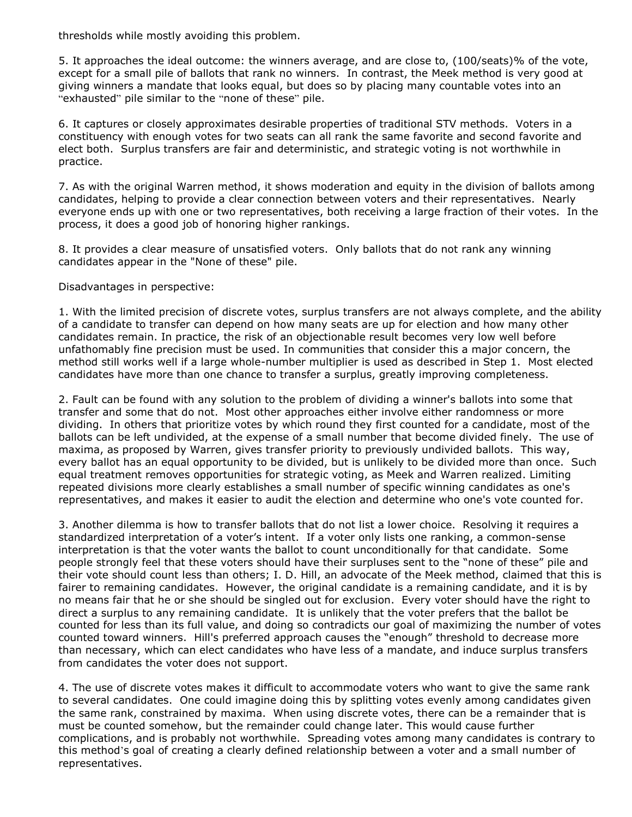thresholds while mostly avoiding this problem.

5. It approaches the ideal outcome: the winners average, and are close to, (100/seats)% of the vote, except for a small pile of ballots that rank no winners. In contrast, the Meek method is very good at giving winners a mandate that looks equal, but does so by placing many countable votes into an "exhausted" pile similar to the "none of these" pile.

6. It captures or closely approximates desirable properties of traditional STV methods. Voters in a constituency with enough votes for two seats can all rank the same favorite and second favorite and elect both. Surplus transfers are fair and deterministic, and strategic voting is not worthwhile in practice.

7. As with the original Warren method, it shows moderation and equity in the division of ballots among candidates, helping to provide a clear connection between voters and their representatives. Nearly everyone ends up with one or two representatives, both receiving a large fraction of their votes. In the process, it does a good job of honoring higher rankings.

8. It provides a clear measure of unsatisfied voters. Only ballots that do not rank any winning candidates appear in the "None of these" pile.

Disadvantages in perspective:

1. With the limited precision of discrete votes, surplus transfers are not always complete, and the ability of a candidate to transfer can depend on how many seats are up for election and how many other candidates remain. In practice, the risk of an objectionable result becomes very low well before unfathomably fine precision must be used. In communities that consider this a major concern, the method still works well if a large whole-number multiplier is used as described in Step 1. Most elected candidates have more than one chance to transfer a surplus, greatly improving completeness.

2. Fault can be found with any solution to the problem of dividing a winner's ballots into some that transfer and some that do not. Most other approaches either involve either randomness or more dividing. In others that prioritize votes by which round they first counted for a candidate, most of the ballots can be left undivided, at the expense of a small number that become divided finely. The use of maxima, as proposed by Warren, gives transfer priority to previously undivided ballots. This way, every ballot has an equal opportunity to be divided, but is unlikely to be divided more than once. Such equal treatment removes opportunities for strategic voting, as Meek and Warren realized. Limiting repeated divisions more clearly establishes a small number of specific winning candidates as one's representatives, and makes it easier to audit the election and determine who one's vote counted for.

3. Another dilemma is how to transfer ballots that do not list a lower choice. Resolving it requires a standardized interpretation of a voter's intent. If a voter only lists one ranking, a common-sense interpretation is that the voter wants the ballot to count unconditionally for that candidate. Some people strongly feel that these voters should have their surpluses sent to the "none of these" pile and their vote should count less than others; I. D. Hill, an advocate of the Meek method, claimed that this is fairer to remaining candidates. However, the original candidate is a remaining candidate, and it is by no means fair that he or she should be singled out for exclusion. Every voter should have the right to direct a surplus to any remaining candidate. It is unlikely that the voter prefers that the ballot be counted for less than its full value, and doing so contradicts our goal of maximizing the number of votes counted toward winners. Hill's preferred approach causes the "enough" threshold to decrease more than necessary, which can elect candidates who have less of a mandate, and induce surplus transfers from candidates the voter does not support.

4. The use of discrete votes makes it difficult to accommodate voters who want to give the same rank to several candidates. One could imagine doing this by splitting votes evenly among candidates given the same rank, constrained by maxima. When using discrete votes, there can be a remainder that is must be counted somehow, but the remainder could change later. This would cause further complications, and is probably not worthwhile. Spreading votes among many candidates is contrary to this method's goal of creating a clearly defined relationship between a voter and a small number of representatives.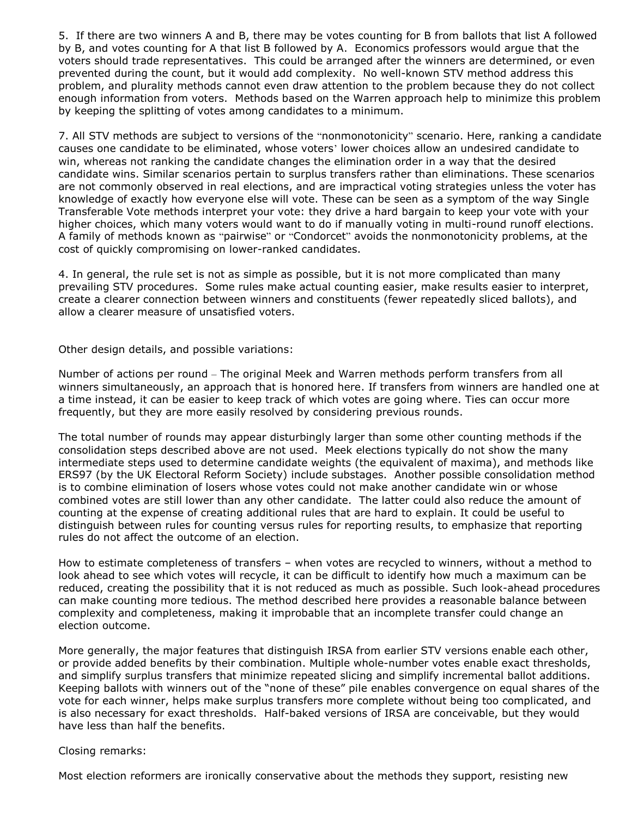5. If there are two winners A and B, there may be votes counting for B from ballots that list A followed by B, and votes counting for A that list B followed by A. Economics professors would argue that the voters should trade representatives. This could be arranged after the winners are determined, or even prevented during the count, but it would add complexity. No well-known STV method address this problem, and plurality methods cannot even draw attention to the problem because they do not collect enough information from voters. Methods based on the Warren approach help to minimize this problem by keeping the splitting of votes among candidates to a minimum.

7. All STV methods are subject to versions of the "nonmonotonicity" scenario. Here, ranking a candidate causes one candidate to be eliminated, whose voters' lower choices allow an undesired candidate to win, whereas not ranking the candidate changes the elimination order in a way that the desired candidate wins. Similar scenarios pertain to surplus transfers rather than eliminations. These scenarios are not commonly observed in real elections, and are impractical voting strategies unless the voter has knowledge of exactly how everyone else will vote. These can be seen as a symptom of the way Single Transferable Vote methods interpret your vote: they drive a hard bargain to keep your vote with your higher choices, which many voters would want to do if manually voting in multi-round runoff elections. A family of methods known as "pairwise" or "Condorcet" avoids the nonmonotonicity problems, at the cost of quickly compromising on lower-ranked candidates.

4. In general, the rule set is not as simple as possible, but it is not more complicated than many prevailing STV procedures. Some rules make actual counting easier, make results easier to interpret, create a clearer connection between winners and constituents (fewer repeatedly sliced ballots), and allow a clearer measure of unsatisfied voters.

# Other design details, and possible variations:

Number of actions per round – The original Meek and Warren methods perform transfers from all winners simultaneously, an approach that is honored here. If transfers from winners are handled one at a time instead, it can be easier to keep track of which votes are going where. Ties can occur more frequently, but they are more easily resolved by considering previous rounds.

The total number of rounds may appear disturbingly larger than some other counting methods if the consolidation steps described above are not used. Meek elections typically do not show the many intermediate steps used to determine candidate weights (the equivalent of maxima), and methods like ERS97 (by the UK Electoral Reform Society) include substages. Another possible consolidation method is to combine elimination of losers whose votes could not make another candidate win or whose combined votes are still lower than any other candidate. The latter could also reduce the amount of counting at the expense of creating additional rules that are hard to explain. It could be useful to distinguish between rules for counting versus rules for reporting results, to emphasize that reporting rules do not affect the outcome of an election.

How to estimate completeness of transfers – when votes are recycled to winners, without a method to look ahead to see which votes will recycle, it can be difficult to identify how much a maximum can be reduced, creating the possibility that it is not reduced as much as possible. Such look-ahead procedures can make counting more tedious. The method described here provides a reasonable balance between complexity and completeness, making it improbable that an incomplete transfer could change an election outcome.

More generally, the major features that distinguish IRSA from earlier STV versions enable each other, or provide added benefits by their combination. Multiple whole-number votes enable exact thresholds, and simplify surplus transfers that minimize repeated slicing and simplify incremental ballot additions. Keeping ballots with winners out of the "none of these" pile enables convergence on equal shares of the vote for each winner, helps make surplus transfers more complete without being too complicated, and is also necessary for exact thresholds. Half-baked versions of IRSA are conceivable, but they would have less than half the benefits.

#### Closing remarks:

Most election reformers are ironically conservative about the methods they support, resisting new